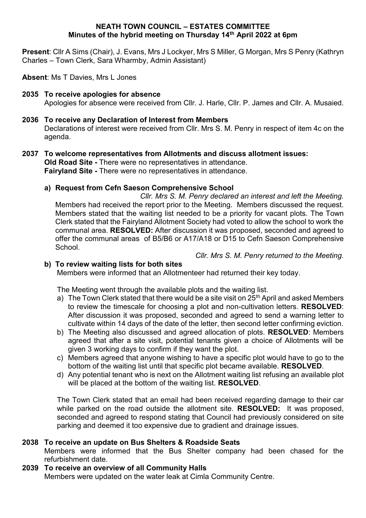#### **NEATH TOWN COUNCIL – ESTATES COMMITTEE Minutes of the hybrid meeting on Thursday 14th April 2022 at 6pm**

**Present**: Cllr A Sims (Chair), J. Evans, Mrs J Lockyer, Mrs S Miller, G Morgan, Mrs S Penry (Kathryn Charles – Town Clerk, Sara Wharmby, Admin Assistant)

**Absent**: Ms T Davies, Mrs L Jones

### **2035 To receive apologies for absence** Apologies for absence were received from Cllr. J. Harle, Cllr. P. James and Cllr. A. Musaied.

# **2036 To receive any Declaration of Interest from Members**

Declarations of interest were received from Cllr. Mrs S. M. Penry in respect of item 4c on the agenda.

#### **2037 To welcome representatives from Allotments and discuss allotment issues: Old Road Site -** There were no representatives in attendance. **Fairyland Site -** There were no representatives in attendance.

### **a) Request from Cefn Saeson Comprehensive School**

*Cllr. Mrs S. M. Penry declared an interest and left the Meeting.* Members had received the report prior to the Meeting. Members discussed the request. Members stated that the waiting list needed to be a priority for vacant plots. The Town Clerk stated that the Fairyland Allotment Society had voted to allow the school to work the communal area. **RESOLVED:** After discussion it was proposed, seconded and agreed to offer the communal areas of B5/B6 or A17/A18 or D15 to Cefn Saeson Comprehensive School.

*Cllr. Mrs S. M. Penry returned to the Meeting.*

### **b) To review waiting lists for both sites**

Members were informed that an Allotmenteer had returned their key today.

The Meeting went through the available plots and the waiting list.

- a) The Town Clerk stated that there would be a site visit on  $25<sup>th</sup>$  April and asked Members to review the timescale for choosing a plot and non-cultivation letters. **RESOLVED**: After discussion it was proposed, seconded and agreed to send a warning letter to cultivate within 14 days of the date of the letter, then second letter confirming eviction.
- b) The Meeting also discussed and agreed allocation of plots. **RESOLVED**: Members agreed that after a site visit, potential tenants given a choice of Allotments will be given 3 working days to confirm if they want the plot.
- c) Members agreed that anyone wishing to have a specific plot would have to go to the bottom of the waiting list until that specific plot became available. **RESOLVED**.
- d) Any potential tenant who is next on the Allotment waiting list refusing an available plot will be placed at the bottom of the waiting list. **RESOLVED**.

The Town Clerk stated that an email had been received regarding damage to their car while parked on the road outside the allotment site. **RESOLVED:** It was proposed, seconded and agreed to respond stating that Council had previously considered on site parking and deemed it too expensive due to gradient and drainage issues.

### **2038 To receive an update on Bus Shelters & Roadside Seats**

Members were informed that the Bus Shelter company had been chased for the refurbishment date.

### **2039 To receive an overview of all Community Halls**

Members were updated on the water leak at Cimla Community Centre.